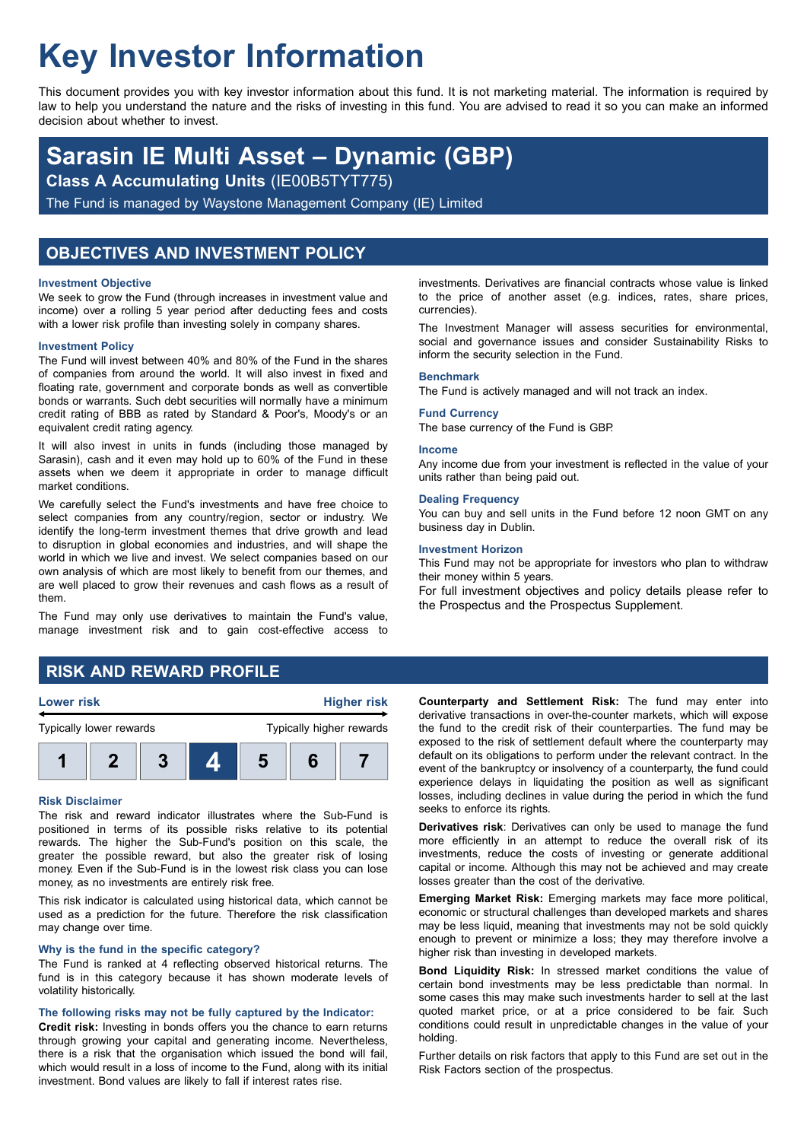# **Key Investor Information**

This document provides you with key investor information about this fund. It is not marketing material. The information is required by law to help you understand the nature and the risks of investing in this fund. You are advised to read it so you can make an informed decision about whether to invest.

## **Sarasin IE Multi Asset – Dynamic (GBP)**

**Class A Accumulating Units** (IE00B5TYT775)

The Fund is managed by Waystone Management Company (IE) Limited

## **OBJECTIVES AND INVESTMENT POLICY**

#### **Investment Objective**

We seek to grow the Fund (through increases in investment value and income) over a rolling 5 year period after deducting fees and costs with a lower risk profile than investing solely in company shares.

#### **Investment Policy**

The Fund will invest between 40% and 80% of the Fund in the shares of companies from around the world. It will also invest in fixed and floating rate, government and corporate bonds as well as convertible bonds or warrants. Such debt securities will normally have a minimum credit rating of BBB as rated by Standard & Poor's, Moody's or an equivalent credit rating agency.

It will also invest in units in funds (including those managed by Sarasin), cash and it even may hold up to 60% of the Fund in these assets when we deem it appropriate in order to manage difficult market conditions.

We carefully select the Fund's investments and have free choice to select companies from any country/region, sector or industry. We identify the long-term investment themes that drive growth and lead to disruption in global economies and industries, and will shape the world in which we live and invest. We select companies based on our own analysis of which are most likely to benefit from our themes, and are well placed to grow their revenues and cash flows as a result of them.

The Fund may only use derivatives to maintain the Fund's value, manage investment risk and to gain cost-effective access to

investments. Derivatives are financial contracts whose value is linked to the price of another asset (e.g. indices, rates, share prices, currencies).

The Investment Manager will assess securities for environmental, social and governance issues and consider Sustainability Risks to inform the security selection in the Fund.

#### **Benchmark**

The Fund is actively managed and will not track an index.

#### **Fund Currency**

The base currency of the Fund is GBP.

#### **Income**

Any income due from your investment is reflected in the value of your units rather than being paid out.

#### **Dealing Frequency**

You can buy and sell units in the Fund before 12 noon GMT on any business day in Dublin.

#### **Investment Horizon**

This Fund may not be appropriate for investors who plan to withdraw their money within 5 years.

For full investment objectives and policy details please refer to the Prospectus and the Prospectus Supplement.

## **RISK AND REWARD PROFILE**

#### **Lower risk Higher risk**



#### **Risk Disclaimer**

The risk and reward indicator illustrates where the Sub-Fund is positioned in terms of its possible risks relative to its potential rewards. The higher the Sub-Fund's position on this scale, the greater the possible reward, but also the greater risk of losing money. Even if the Sub-Fund is in the lowest risk class you can lose money, as no investments are entirely risk free.

This risk indicator is calculated using historical data, which cannot be used as a prediction for the future. Therefore the risk classification may change over time.

#### **Why is the fund in the specific category?**

The Fund is ranked at 4 reflecting observed historical returns. The fund is in this category because it has shown moderate levels of volatility historically.

#### **The following risks may not be fully captured by the Indicator:**

**Credit risk:** Investing in bonds offers you the chance to earn returns through growing your capital and generating income. Nevertheless, there is a risk that the organisation which issued the bond will fail, which would result in a loss of income to the Fund, along with its initial investment. Bond values are likely to fall if interest rates rise.

**Counterparty and Settlement Risk:** The fund may enter into derivative transactions in over-the-counter markets, which will expose the fund to the credit risk of their counterparties. The fund may be exposed to the risk of settlement default where the counterparty may default on its obligations to perform under the relevant contract. In the event of the bankruptcy or insolvency of a counterparty, the fund could experience delays in liquidating the position as well as significant losses, including declines in value during the period in which the fund seeks to enforce its rights.

**Derivatives risk**: Derivatives can only be used to manage the fund more efficiently in an attempt to reduce the overall risk of its investments, reduce the costs of investing or generate additional capital or income. Although this may not be achieved and may create losses greater than the cost of the derivative.

**Emerging Market Risk:** Emerging markets may face more political, economic or structural challenges than developed markets and shares may be less liquid, meaning that investments may not be sold quickly enough to prevent or minimize a loss; they may therefore involve a higher risk than investing in developed markets.

**Bond Liquidity Risk:** In stressed market conditions the value of certain bond investments may be less predictable than normal. In some cases this may make such investments harder to sell at the last quoted market price, or at a price considered to be fair. Such conditions could result in unpredictable changes in the value of your holding.

Further details on risk factors that apply to this Fund are set out in the Risk Factors section of the prospectus.